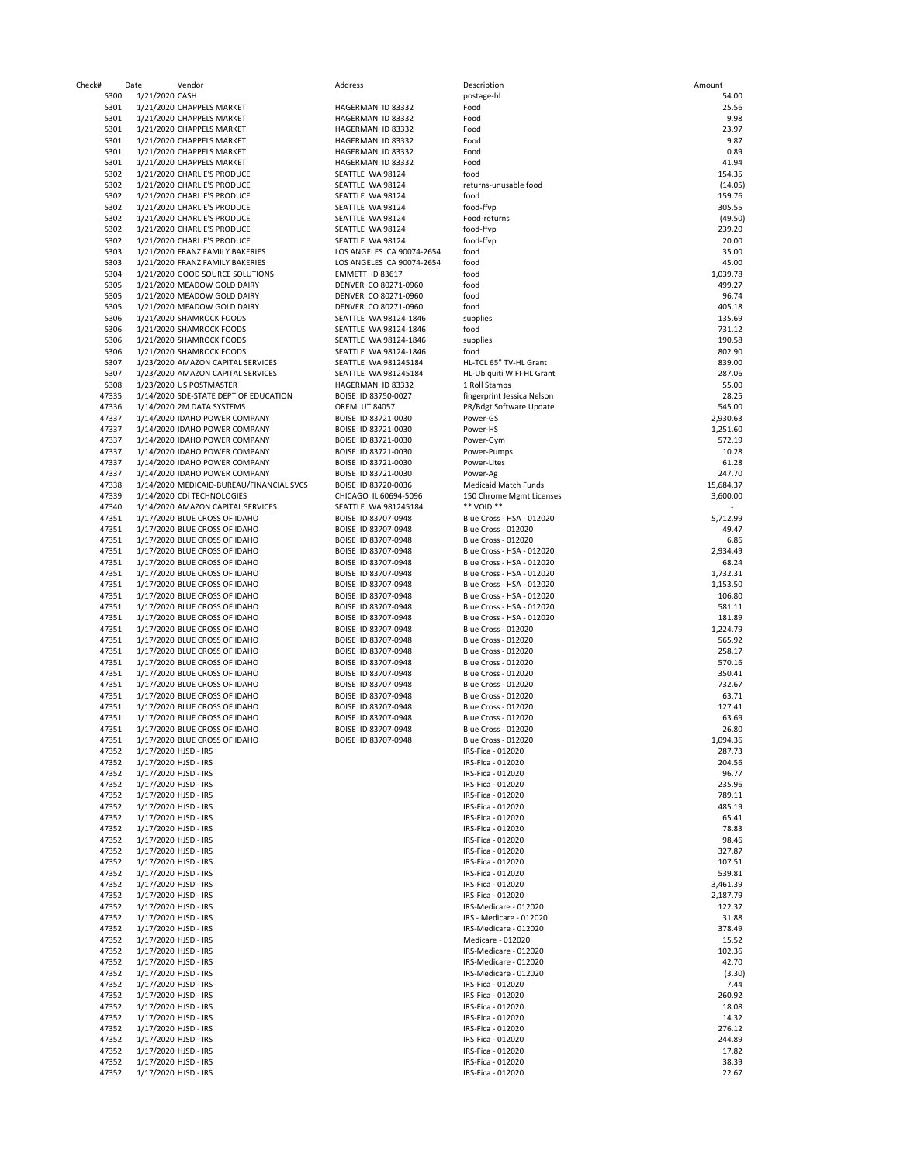| 11 C C K #     | Date                 | venuor                                                          |
|----------------|----------------------|-----------------------------------------------------------------|
| 5300           | 1/21/2020 CASH       |                                                                 |
| 5301           |                      | 1/21/2020 CHAPPELS MARKET                                       |
| 5301           |                      | 1/21/2020 CHAPPELS MARKET                                       |
| 5301           |                      | 1/21/2020 CHAPPELS MARKET                                       |
| 5301           |                      | 1/21/2020 CHAPPELS MARKET                                       |
| 5301           |                      | 1/21/2020 CHAPPELS MARKET                                       |
| 5301           |                      | 1/21/2020 CHAPPELS MARKET                                       |
| 5302           |                      | 1/21/2020 CHARLIE'S PRODUCE                                     |
|                |                      | 1/21/2020 CHARLIE'S PRODUCE                                     |
| 5302           |                      |                                                                 |
| 5302           |                      | 1/21/2020 CHARLIE'S PRODUCE                                     |
| 5302           |                      | 1/21/2020 CHARLIE'S PRODUCE                                     |
| 5302           |                      | 1/21/2020 CHARLIE'S PRODUCE                                     |
| 5302           |                      | 1/21/2020 CHARLIE'S PRODUCE                                     |
| 5302           |                      | 1/21/2020 CHARLIE'S PRODUCE                                     |
| 5303           |                      | 1/21/2020 FRANZ FAMILY BAKERIES                                 |
| 5303           |                      | 1/21/2020 FRANZ FAMILY BAKERIES                                 |
| 5304           |                      | 1/21/2020 GOOD SOURCE SOLUTIONS                                 |
| 5305           |                      | 1/21/2020 MEADOW GOLD DAIRY                                     |
| 5305           |                      | 1/21/2020 MEADOW GOLD DAIRY                                     |
| 5305           |                      | 1/21/2020 MEADOW GOLD DAIRY                                     |
| 5306           |                      | 1/21/2020 SHAMROCK FOODS                                        |
| 5306           |                      | 1/21/2020 SHAMROCK FOODS                                        |
| 5306           |                      | 1/21/2020 SHAMROCK FOODS                                        |
| 5306           |                      | 1/21/2020 SHAMROCK FOODS                                        |
| 5307           |                      | 1/23/2020 AMAZON CAPITAL SERVICES                               |
| 5307           |                      | 1/23/2020 AMAZON CAPITAL SERVICES                               |
| 5308           |                      | 1/23/2020 US POSTMASTER                                         |
| 47335          |                      | 1/14/2020 SDE-STATE DEPT OF EDUCATIO                            |
| 47336          |                      | 1/14/2020 2M DATA SYSTEMS                                       |
| 47337          |                      | 1/14/2020 IDAHO POWER COMPANY                                   |
| 47337          |                      | 1/14/2020 IDAHO POWER COMPANY                                   |
| 47337          |                      | 1/14/2020 IDAHO POWER COMPANY                                   |
| 47337          |                      | 1/14/2020 IDAHO POWER COMPANY                                   |
| 47337          |                      | 1/14/2020 IDAHO POWER COMPANY                                   |
| 47337          |                      |                                                                 |
|                |                      | 1/14/2020 IDAHO POWER COMPANY                                   |
| 47338          |                      | 1/14/2020 MEDICAID-BUREAU/FINANCIA                              |
| 47339          |                      | 1/14/2020 CDI TECHNOLOGIES<br>1/14/2020 AMAZON CAPITAL SERVICES |
| 47340<br>47351 |                      | 1/17/2020 BLUE CROSS OF IDAHO                                   |
| 47351          |                      | 1/17/2020 BLUE CROSS OF IDAHO                                   |
| 47351          |                      | 1/17/2020 BLUE CROSS OF IDAHO                                   |
| 47351          |                      | 1/17/2020 BLUE CROSS OF IDAHO                                   |
| 47351          |                      | 1/17/2020 BLUE CROSS OF IDAHO                                   |
| 47351          |                      | 1/17/2020 BLUE CROSS OF IDAHO                                   |
| 47351          |                      | 1/17/2020 BLUE CROSS OF IDAHO                                   |
| 47351          |                      | 1/17/2020 BLUE CROSS OF IDAHO                                   |
| 47351          |                      | 1/17/2020 BLUE CROSS OF IDAHO                                   |
| 47351          |                      | 1/17/2020 BLUE CROSS OF IDAHO                                   |
| 47351          |                      | 1/17/2020 BLUE CROSS OF IDAHO                                   |
| 47351          |                      | 1/17/2020 BLUE CROSS OF IDAHO                                   |
| 47351          |                      | 1/17/2020 BLUE CROSS OF IDAHO                                   |
| 47351          |                      | 1/17/2020 BLUE CROSS OF IDAHO                                   |
| 47351          |                      | 1/17/2020 BLUE CROSS OF IDAHO                                   |
| 47351          |                      | 1/17/2020 BLUE CROSS OF IDAHO                                   |
| 47351          |                      | 1/17/2020 BLUE CROSS OF IDAHO                                   |
| 47351          |                      | 1/17/2020 BLUE CROSS OF IDAHO                                   |
| 47351          |                      | 1/17/2020 BLUE CROSS OF IDAHO                                   |
| 47351          |                      | 1/17/2020 BLUE CROSS OF IDAHO                                   |
| 47351          |                      | 1/17/2020 BLUE CROSS OF IDAHO                                   |
| 47352          | 1/17/2020 HJSD - IRS |                                                                 |
| 47352          | 1/17/2020 HJSD - IRS |                                                                 |
| 47352          | 1/17/2020 HJSD - IRS |                                                                 |
| 47352          | 1/17/2020 HJSD - IRS |                                                                 |
| 47352          | 1/17/2020 HJSD - IRS |                                                                 |
| 47352          | 1/17/2020 HJSD - IRS |                                                                 |
| 47352          | 1/17/2020 HJSD - IRS |                                                                 |
| 47352          | 1/17/2020 HJSD - IRS |                                                                 |
| 47352          | 1/17/2020 HJSD - IRS |                                                                 |
| 47352          | 1/17/2020 HJSD - IRS |                                                                 |
| 47352          | 1/17/2020 HJSD - IRS |                                                                 |
| 47352          | 1/17/2020 HJSD - IRS |                                                                 |
| 47352          | 1/17/2020 HJSD - IRS |                                                                 |
| 47352          | 1/17/2020 HJSD - IRS |                                                                 |
| 47352          | 1/17/2020 HJSD - IRS |                                                                 |
| 47352          | 1/17/2020 HJSD - IRS |                                                                 |
| 47352          | 1/17/2020 HJSD - IRS |                                                                 |
| 47352          | 1/17/2020 HJSD - IRS |                                                                 |
| 47352          | 1/17/2020 HJSD - IRS |                                                                 |
| 47352          | 1/17/2020 HJSD - IRS |                                                                 |
| 47352          | 1/17/2020 HJSD - IRS |                                                                 |
| 47352          | 1/17/2020 HJSD - IRS |                                                                 |
| 47352          | 1/17/2020 HJSD - IRS |                                                                 |
| 47352          | 1/17/2020 HJSD - IRS |                                                                 |
| 47352          | 1/17/2020 HJSD - IRS |                                                                 |
| 47352          | 1/17/2020 HJSD - IRS |                                                                 |
| 47352          | 1/17/2020 HJSD - IRS |                                                                 |
| 47352          | 1/17/2020 HJSD - IRS |                                                                 |
| 47352          | 1/17/2020 HJSD - IRS |                                                                 |
| 47352          | 1/17/2020 HJSD - IRS |                                                                 |

| <b>Idress</b>                              |
|--------------------------------------------|
|                                            |
| GERMAN ID 83332<br>GERMAN ID 83332         |
| GERMAN ID 83332                            |
| GERMAN ID 83332                            |
| GERMAN ID 83332                            |
| GERMAN ID 83332                            |
| ATTLE WA 98124                             |
| ATTLE WA 98124                             |
| ATTLE WA 98124                             |
| ATTLE WA 98124                             |
| ATTLE WA 98124                             |
| ATTLE WA 98124<br>ATTLE WA 98124           |
| S ANGELES CA 90074-2654                    |
| S ANGELES CA 90074-2654                    |
| <b>IMETT ID 83617</b>                      |
| NVER CO 80271-0960                         |
| NVER CO 80271-0960                         |
| NVER CO 80271-0960                         |
| ATTLE WA 98124-1846<br>ATTLE WA 98124-1846 |
|                                            |
| ATTLE WA 98124-1846<br>ATTLE WA 98124-1846 |
| ATTLE WA 981245184                         |
| ATTLE WA 981245184                         |
| GERMAN ID 83332                            |
| ISE ID 83750-0027                          |
| <b>REM UT 84057</b>                        |
| ISE ID 83721-0030                          |
| ISE ID 83721-0030                          |
| ISE ID 83721-0030                          |
| ISE ID 83721-0030                          |
| ISE ID 83721-0030                          |
| ISE ID 83721-0030<br>ISE ID 83720-0036     |
| IICAGO IL 60694-5096                       |
| ATTLE WA 981245184                         |
| ISE ID 83707-0948                          |
| ISE ID 83707-0948                          |
| ISE ID 83707-0948                          |
| ISE ID 83707-0948                          |
| ISE ID 83707-0948                          |
| ISE ID 83707-0948                          |
| ISE ID 83707-0948                          |
| ISE ID 83707-0948<br>ISE ID 83707-0948     |
| ISE ID 83707-0948                          |
| ISE ID 83707-0948                          |
| ISE ID 83707-0948                          |
| ISE ID 83707-0948                          |
| ISE ID 83707-0948                          |
| ISE ID 83707-0948                          |
| ISE ID 83707-0948                          |
| ISE ID 83707-0948                          |
| ISE ID 83707-0948                          |
| ISE ID 83707-0948<br>ISE ID 83707-0948     |
| ISE ID 83707-0948                          |
|                                            |
|                                            |
|                                            |
|                                            |

| Check# | Date                 | Vendor                                   | Address                   | Description                | Amount    |
|--------|----------------------|------------------------------------------|---------------------------|----------------------------|-----------|
| 5300   | 1/21/2020 CASH       |                                          |                           | postage-hl                 | 54.00     |
| 5301   |                      | 1/21/2020 CHAPPELS MARKET                | HAGERMAN ID 83332         | Food                       | 25.56     |
| 5301   |                      | 1/21/2020 CHAPPELS MARKET                | HAGERMAN ID 83332         | Food                       | 9.98      |
| 5301   |                      | 1/21/2020 CHAPPELS MARKET                | HAGERMAN ID 83332         | Food                       | 23.97     |
| 5301   |                      | 1/21/2020 CHAPPELS MARKET                | HAGERMAN ID 83332         | Food                       | 9.87      |
| 5301   |                      | 1/21/2020 CHAPPELS MARKET                | HAGERMAN ID 83332         | Food                       | 0.89      |
|        |                      |                                          |                           | Food                       | 41.94     |
| 5301   |                      | 1/21/2020 CHAPPELS MARKET                | HAGERMAN ID 83332         |                            |           |
| 5302   |                      | 1/21/2020 CHARLIE'S PRODUCE              | SEATTLE WA 98124          | food                       | 154.35    |
| 5302   |                      | 1/21/2020 CHARLIE'S PRODUCE              | SEATTLE WA 98124          | returns-unusable food      | (14.05)   |
| 5302   |                      | 1/21/2020 CHARLIE'S PRODUCE              | SEATTLE WA 98124          | food                       | 159.76    |
| 5302   |                      | 1/21/2020 CHARLIE'S PRODUCE              | SEATTLE WA 98124          | food-ffvp                  | 305.55    |
| 5302   |                      | 1/21/2020 CHARLIE'S PRODUCE              | SEATTLE WA 98124          | Food-returns               | (49.50)   |
| 5302   |                      | 1/21/2020 CHARLIE'S PRODUCE              | SEATTLE WA 98124          | food-ffvp                  | 239.20    |
| 5302   |                      | 1/21/2020 CHARLIE'S PRODUCE              | SEATTLE WA 98124          | food-ffvp                  | 20.00     |
| 5303   |                      | 1/21/2020 FRANZ FAMILY BAKERIES          | LOS ANGELES CA 90074-2654 | food                       | 35.00     |
| 5303   |                      | 1/21/2020 FRANZ FAMILY BAKERIES          | LOS ANGELES CA 90074-2654 | food                       | 45.00     |
| 5304   |                      | 1/21/2020 GOOD SOURCE SOLUTIONS          | EMMETT ID 83617           | food                       | 1,039.78  |
| 5305   |                      | 1/21/2020 MEADOW GOLD DAIRY              | DENVER CO 80271-0960      | food                       | 499.27    |
| 5305   |                      | 1/21/2020 MEADOW GOLD DAIRY              | DENVER CO 80271-0960      | food                       | 96.74     |
| 5305   |                      |                                          |                           | food                       | 405.18    |
|        |                      | 1/21/2020 MEADOW GOLD DAIRY              | DENVER CO 80271-0960      |                            |           |
| 5306   |                      | 1/21/2020 SHAMROCK FOODS                 | SEATTLE WA 98124-1846     | supplies                   | 135.69    |
| 5306   |                      | 1/21/2020 SHAMROCK FOODS                 | SEATTLE WA 98124-1846     | food                       | 731.12    |
| 5306   |                      | 1/21/2020 SHAMROCK FOODS                 | SEATTLE WA 98124-1846     | supplies                   | 190.58    |
| 5306   |                      | 1/21/2020 SHAMROCK FOODS                 | SEATTLE WA 98124-1846     | food                       | 802.90    |
| 5307   |                      | 1/23/2020 AMAZON CAPITAL SERVICES        | SEATTLE WA 981245184      | HL-TCL 65" TV-HL Grant     | 839.00    |
| 5307   |                      | 1/23/2020 AMAZON CAPITAL SERVICES        | SEATTLE WA 981245184      | HL-Ubiquiti WiFI-HL Grant  | 287.06    |
| 5308   |                      | 1/23/2020 US POSTMASTER                  | HAGERMAN ID 83332         | 1 Roll Stamps              | 55.00     |
| 47335  |                      | 1/14/2020 SDE-STATE DEPT OF EDUCATION    | BOISE ID 83750-0027       | fingerprint Jessica Nelson | 28.25     |
| 47336  |                      | 1/14/2020 2M DATA SYSTEMS                | <b>OREM UT 84057</b>      | PR/Bdgt Software Update    | 545.00    |
| 47337  |                      | 1/14/2020 IDAHO POWER COMPANY            | BOISE ID 83721-0030       | Power-GS                   | 2,930.63  |
| 47337  |                      | 1/14/2020 IDAHO POWER COMPANY            | BOISE ID 83721-0030       | Power-HS                   | 1,251.60  |
| 47337  |                      |                                          | BOISE ID 83721-0030       |                            | 572.19    |
|        |                      | 1/14/2020 IDAHO POWER COMPANY            |                           | Power-Gym                  |           |
| 47337  |                      | 1/14/2020 IDAHO POWER COMPANY            | BOISE ID 83721-0030       | Power-Pumps                | 10.28     |
| 47337  |                      | 1/14/2020 IDAHO POWER COMPANY            | BOISE ID 83721-0030       | Power-Lites                | 61.28     |
| 47337  |                      | 1/14/2020 IDAHO POWER COMPANY            | BOISE ID 83721-0030       | Power-Ag                   | 247.70    |
| 47338  |                      | 1/14/2020 MEDICAID-BUREAU/FINANCIAL SVCS | BOISE ID 83720-0036       | Medicaid Match Funds       | 15,684.37 |
| 47339  |                      | 1/14/2020 CDI TECHNOLOGIES               | CHICAGO IL 60694-5096     | 150 Chrome Mgmt Licenses   | 3,600.00  |
| 47340  |                      | 1/14/2020 AMAZON CAPITAL SERVICES        | SEATTLE WA 981245184      | ** VOID **                 |           |
| 47351  |                      | 1/17/2020 BLUE CROSS OF IDAHO            | BOISE ID 83707-0948       | Blue Cross - HSA - 012020  | 5,712.99  |
| 47351  |                      | 1/17/2020 BLUE CROSS OF IDAHO            | BOISE ID 83707-0948       | <b>Blue Cross - 012020</b> | 49.47     |
| 47351  |                      | 1/17/2020 BLUE CROSS OF IDAHO            | BOISE ID 83707-0948       | Blue Cross - 012020        | 6.86      |
| 47351  |                      | 1/17/2020 BLUE CROSS OF IDAHO            | BOISE ID 83707-0948       | Blue Cross - HSA - 012020  | 2,934.49  |
| 47351  |                      | 1/17/2020 BLUE CROSS OF IDAHO            | BOISE ID 83707-0948       | Blue Cross - HSA - 012020  | 68.24     |
| 47351  |                      | 1/17/2020 BLUE CROSS OF IDAHO            | BOISE ID 83707-0948       | Blue Cross - HSA - 012020  | 1,732.31  |
|        |                      |                                          |                           |                            |           |
| 47351  |                      | 1/17/2020 BLUE CROSS OF IDAHO            | BOISE ID 83707-0948       | Blue Cross - HSA - 012020  | 1,153.50  |
| 47351  |                      | 1/17/2020 BLUE CROSS OF IDAHO            | BOISE ID 83707-0948       | Blue Cross - HSA - 012020  | 106.80    |
| 47351  |                      | 1/17/2020 BLUE CROSS OF IDAHO            | BOISE ID 83707-0948       | Blue Cross - HSA - 012020  | 581.11    |
| 47351  |                      | 1/17/2020 BLUE CROSS OF IDAHO            | BOISE ID 83707-0948       | Blue Cross - HSA - 012020  | 181.89    |
| 47351  |                      | 1/17/2020 BLUE CROSS OF IDAHO            | BOISE ID 83707-0948       | <b>Blue Cross - 012020</b> | 1,224.79  |
| 47351  |                      | 1/17/2020 BLUE CROSS OF IDAHO            | BOISE ID 83707-0948       | <b>Blue Cross - 012020</b> | 565.92    |
| 47351  |                      | 1/17/2020 BLUE CROSS OF IDAHO            | BOISE ID 83707-0948       | <b>Blue Cross - 012020</b> | 258.17    |
| 47351  |                      | 1/17/2020 BLUE CROSS OF IDAHO            | BOISE ID 83707-0948       | <b>Blue Cross - 012020</b> | 570.16    |
| 47351  |                      | 1/17/2020 BLUE CROSS OF IDAHO            | BOISE ID 83707-0948       | <b>Blue Cross - 012020</b> | 350.41    |
| 47351  |                      | 1/17/2020 BLUE CROSS OF IDAHO            | BOISE ID 83707-0948       | <b>Blue Cross - 012020</b> | 732.67    |
| 47351  |                      | 1/17/2020 BLUE CROSS OF IDAHO            | BOISE ID 83707-0948       | <b>Blue Cross - 012020</b> | 63.71     |
| 47351  |                      | 1/17/2020 BLUE CROSS OF IDAHO            | BOISE ID 83707-0948       | <b>Blue Cross - 012020</b> | 127.41    |
|        |                      |                                          |                           |                            |           |
| 47351  |                      | 1/17/2020 BLUE CROSS OF IDAHO            | BOISE ID 83707-0948       | <b>Blue Cross - 012020</b> | 63.69     |
| 47351  |                      | 1/17/2020 BLUE CROSS OF IDAHO            | BOISE ID 83707-0948       | <b>Blue Cross - 012020</b> | 26.80     |
| 47351  |                      | 1/17/2020 BLUE CROSS OF IDAHO            | BOISE ID 83707-0948       | <b>Blue Cross - 012020</b> | 1,094.36  |
| 47352  | 1/17/2020 HJSD - IRS |                                          |                           | IRS-Fica - 012020          | 287.73    |
| 47352  | 1/17/2020 HJSD - IRS |                                          |                           | IRS-Fica - 012020          | 204.56    |
| 47352  | 1/17/2020 HJSD - IRS |                                          |                           | IRS-Fica - 012020          | 96.77     |
| 47352  | 1/17/2020 HJSD - IRS |                                          |                           | IRS-Fica - 012020          | 235.96    |
| 47352  | 1/17/2020 HJSD - IRS |                                          |                           | IRS-Fica - 012020          | 789.11    |
| 47352  | 1/17/2020 HJSD - IRS |                                          |                           | IRS-Fica - 012020          | 485.19    |
| 47352  | 1/17/2020 HJSD - IRS |                                          |                           | IRS-Fica - 012020          | 65.41     |
| 47352  | 1/17/2020 HJSD - IRS |                                          |                           | IRS-Fica - 012020          | 78.83     |
| 47352  | 1/17/2020 HJSD - IRS |                                          |                           | IRS-Fica - 012020          | 98.46     |
| 47352  | 1/17/2020 HJSD - IRS |                                          |                           | IRS-Fica - 012020          | 327.87    |
| 47352  | 1/17/2020 HJSD - IRS |                                          |                           | IRS-Fica - 012020          | 107.51    |
|        |                      |                                          |                           |                            |           |
| 47352  | 1/17/2020 HJSD - IRS |                                          |                           | IRS-Fica - 012020          | 539.81    |
| 47352  | 1/17/2020 HJSD - IRS |                                          |                           | IRS-Fica - 012020          | 3,461.39  |
| 47352  | 1/17/2020 HJSD - IRS |                                          |                           | IRS-Fica - 012020          | 2,187.79  |
| 47352  | 1/17/2020 HJSD - IRS |                                          |                           | IRS-Medicare - 012020      | 122.37    |
| 47352  | 1/17/2020 HJSD - IRS |                                          |                           | IRS - Medicare - 012020    | 31.88     |
| 47352  | 1/17/2020 HJSD - IRS |                                          |                           | IRS-Medicare - 012020      | 378.49    |
| 47352  | 1/17/2020 HJSD - IRS |                                          |                           | Medicare - 012020          | 15.52     |
| 47352  | 1/17/2020 HJSD - IRS |                                          |                           | IRS-Medicare - 012020      | 102.36    |
| 47352  | 1/17/2020 HJSD - IRS |                                          |                           | IRS-Medicare - 012020      | 42.70     |
| 47352  | 1/17/2020 HJSD - IRS |                                          |                           | IRS-Medicare - 012020      | (3.30)    |
| 47352  | 1/17/2020 HJSD - IRS |                                          |                           | IRS-Fica - 012020          | 7.44      |
| 47352  | 1/17/2020 HJSD - IRS |                                          |                           | IRS-Fica - 012020          | 260.92    |
|        |                      |                                          |                           |                            |           |
| 47352  | 1/17/2020 HJSD - IRS |                                          |                           | IRS-Fica - 012020          | 18.08     |
| 47352  | 1/17/2020 HJSD - IRS |                                          |                           | IRS-Fica - 012020          | 14.32     |
| 47352  | 1/17/2020 HJSD - IRS |                                          |                           | IRS-Fica - 012020          | 276.12    |
| 47352  | 1/17/2020 HJSD - IRS |                                          |                           | IRS-Fica - 012020          | 244.89    |
| 47352  | 1/17/2020 HJSD - IRS |                                          |                           | IRS-Fica - 012020          | 17.82     |
| 47352  | 1/17/2020 HJSD - IRS |                                          |                           | IRS-Fica - 012020          | 38.39     |
| 47352  | 1/17/2020 HJSD - IRS |                                          |                           | IRS-Fica - 012020          | 22.67     |
|        |                      |                                          |                           |                            |           |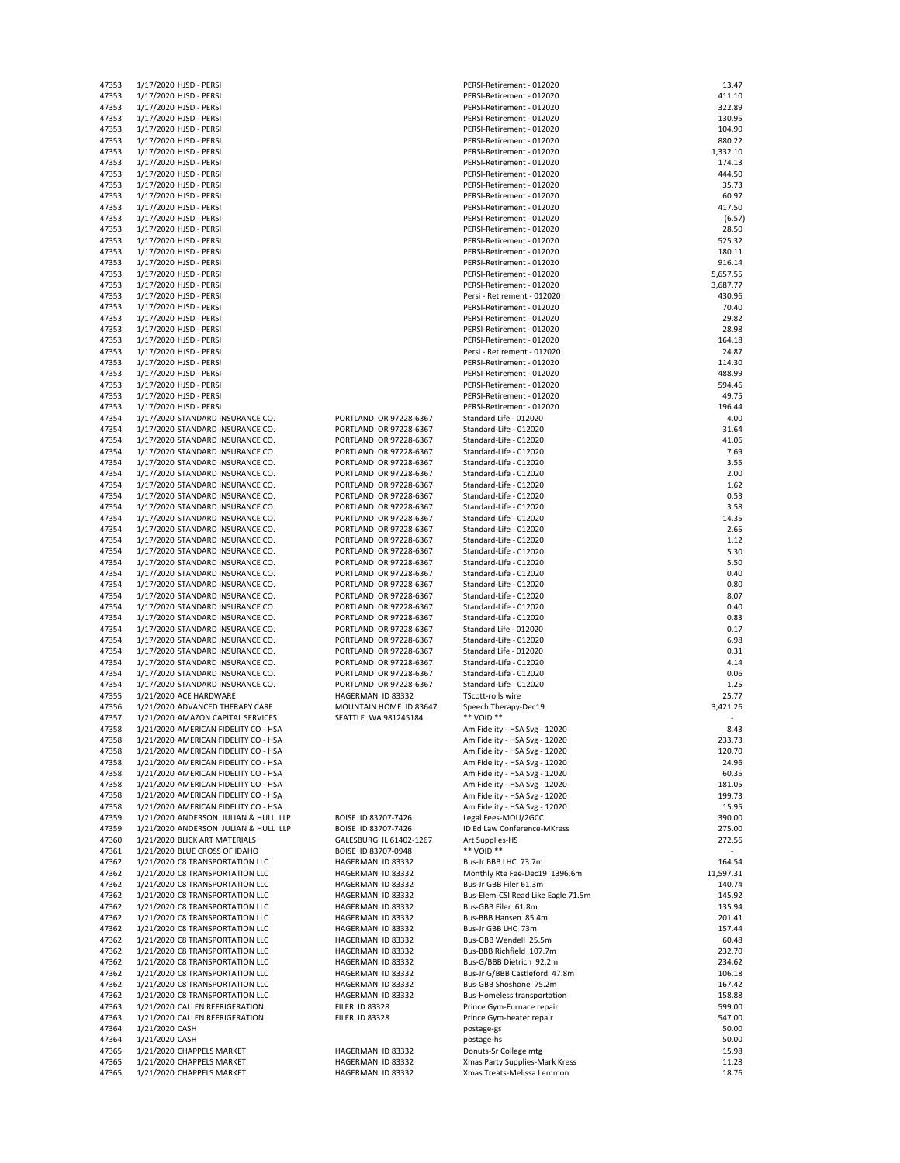| 47353          | 1/17/2020 HJSD - PERSI                                 |
|----------------|--------------------------------------------------------|
| 47353          | 1/17/2020 HJSD - PERSI                                 |
| 47353          | 1/17/2020 HJSD - PERSI                                 |
| 47353          | 1/17/2020 HJSD - PERSI                                 |
| 47353          | 1/17/2020 HJSD - PERSI                                 |
|                | 1/17/2020 HJSD - PERSI                                 |
| 47353          |                                                        |
| 47353          | 1/17/2020 HJSD - PERSI                                 |
| 47353          | 1/17/2020 HJSD - PERSI                                 |
| 47353          | 1/17/2020 HJSD - PERSI                                 |
| 47353          | 1/17/2020 HJSD - PERSI                                 |
| 47353          | 1/17/2020 HJSD - PERSI                                 |
| 47353          | 1/17/2020 HJSD - PERSI                                 |
| 47353          | 1/17/2020 HJSD - PERSI                                 |
| 47353          | 1/17/2020 HJSD - PERSI                                 |
| 47353          | 1/17/2020 HJSD - PERSI                                 |
| 47353          | 1/17/2020 HJSD - PERSI                                 |
| 47353          | 1/17/2020 HJSD - PERSI                                 |
| 47353          | 1/17/2020 HJSD - PERSI                                 |
|                |                                                        |
| 47353          | 1/17/2020 HJSD - PERSI                                 |
| 47353          | 1/17/2020 HJSD - PERSI                                 |
| 47353          | 1/17/2020 HJSD - PERSI                                 |
| 47353          | 1/17/2020 HJSD - PERSI                                 |
| 47353          | 1/17/2020 HJSD - PERSI                                 |
| 47353          | 1/17/2020 HJSD - PERSI                                 |
| 47353          | 1/17/2020 HJSD - PERSI                                 |
| 47353          | 1/17/2020 HJSD - PERSI                                 |
| 47353          | 1/17/2020 HJSD - PERSI                                 |
| 47353          | 1/17/2020 HJSD - PERSI                                 |
| 47353          | 1/17/2020 HJSD - PERSI                                 |
| 47353          | 1/17/2020 HJSD - PERSI                                 |
|                |                                                        |
| 47354          | 1/17/2020 STANDARD INSURANCE CO.                       |
| 47354          | 1/17/2020 STANDARD INSURANCE CO.                       |
| 47354          | 1/17/2020 STANDARD INSURANCE CO.                       |
| 47354          | 1/17/2020 STANDARD INSURANCE CO.                       |
| 47354          | 1/17/2020 STANDARD INSURANCE CO.                       |
| 47354          | 1/17/2020 STANDARD INSURANCE CO.                       |
| 47354          | 1/17/2020 STANDARD INSURANCE CO.                       |
| 47354          | 1/17/2020 STANDARD INSURANCE CO.                       |
| 47354          | 1/17/2020 STANDARD INSURANCE CO.                       |
| 47354          | 1/17/2020 STANDARD INSURANCE CO.                       |
| 47354          | 1/17/2020 STANDARD INSURANCE CO.                       |
| 47354          | 1/17/2020 STANDARD INSURANCE CO.                       |
| 47354          | 1/17/2020 STANDARD INSURANCE CO.                       |
| 47354          | 1/17/2020 STANDARD INSURANCE CO.                       |
|                |                                                        |
| 47354          | 1/17/2020 STANDARD INSURANCE CO.                       |
| 47354          | 1/17/2020 STANDARD INSURANCE CO.                       |
| 47354          | 1/17/2020 STANDARD INSURANCE CO.                       |
| 47354          | 1/17/2020 STANDARD INSURANCE CO.                       |
| 47354          | 1/17/2020 STANDARD INSURANCE CO.                       |
| 47354          | 1/17/2020 STANDARD INSURANCE CO.                       |
| 47354          | 1/17/2020 STANDARD INSURANCE CO.                       |
| 47354          | 1/17/2020 STANDARD INSURANCE CO.                       |
| 47354          | 1/17/2020 STANDARD INSURANCE CO.                       |
| 47354          | 1/17/2020 STANDARD INSURANCE CO.                       |
| 47354          | 1/17/2020 STANDARD INSURANCE CO.                       |
| 47355          | 1/21/2020 ACE HARDWARE                                 |
|                |                                                        |
| 47356          | 1/21/2020 ADVANCED THERAPY CARE                        |
| 47357          | 1/21/2020 AMAZON CAPITAL SERVICES                      |
| 47358          | 1/21/2020 AMERICAN FIDELITY CO - HSA                   |
| 47358          | 1/21/2020 AMERICAN FIDELITY CO - HSA                   |
| 47358          | 1/21/2020 AMERICAN FIDELITY CO - HSA                   |
| 47358          | 1/21/2020 AMERICAN FIDELITY CO - HSA                   |
| 47358          | 1/21/2020 AMERICAN FIDELITY CO - HSA                   |
| 47358          | 1/21/2020 AMERICAN FIDELITY CO - HSA                   |
| 47358          | 1/21/2020 AMERICAN FIDELITY CO - HSA                   |
| 47358          | 1/21/2020 AMERICAN FIDELITY CO - HSA                   |
| 47359          | 1/21/2020 ANDERSON JULIAN & HULL LLP                   |
| 47359          | 1/21/2020 ANDERSON JULIAN & HULL LLP                   |
| 47360          | 1/21/2020 BLICK ART MATERIALS                          |
| 47361          | 1/21/2020 BLUE CROSS OF IDAHO                          |
| 47362          |                                                        |
|                | 1/21/2020 C8 TRANSPORTATION LLC                        |
| 47362          | 1/21/2020 C8 TRANSPORTATION LLC                        |
| 47362          | 1/21/2020 C8 TRANSPORTATION LLC                        |
| 47362          | 1/21/2020 C8 TRANSPORTATION LLC                        |
| 47362          | 1/21/2020 C8 TRANSPORTATION LLC                        |
| 47362          | 1/21/2020 C8 TRANSPORTATION LLC                        |
| 47362          | 1/21/2020 C8 TRANSPORTATION LLC                        |
| 47362          | 1/21/2020 C8 TRANSPORTATION LLC                        |
| 47362          | 1/21/2020 C8 TRANSPORTATION LLC                        |
| 47362          | 1/21/2020 C8 TRANSPORTATION LLC                        |
| 47362          | 1/21/2020 C8 TRANSPORTATION LLC                        |
| 47362          | 1/21/2020 C8 TRANSPORTATION LLC                        |
| 47362          | 1/21/2020 C8 TRANSPORTATION LLC                        |
| 47363          | 1/21/2020 CALLEN REFRIGERATION                         |
| 47363          | 1/21/2020 CALLEN REFRIGERATION                         |
| 47364          |                                                        |
|                |                                                        |
|                | 1/21/2020 CASH                                         |
| 47364          | 1/21/2020 CASH                                         |
| 47365          | 1/21/2020 CHAPPELS MARKET                              |
| 47365<br>47365 | 1/21/2020 CHAPPELS MARKET<br>1/21/2020 CHAPPELS MARKET |

|                   | PORTLAND OR 97228-6367 |
|-------------------|------------------------|
|                   | PORTLAND OR 97228-6367 |
|                   | PORTLAND OR 97228-6367 |
|                   | PORTLAND OR 97228-6367 |
|                   | PORTLAND OR 97228-6367 |
|                   | PORTLAND OR 97228-6367 |
|                   | PORTLAND OR 97228-6367 |
|                   | PORTLAND OR 97228-6367 |
|                   | PORTLAND OR 97228-6367 |
|                   | PORTLAND OR 97228-6367 |
|                   | PORTLAND OR 97228-6367 |
|                   | PORTLAND OR 97228-6367 |
|                   | PORTLAND OR 97228-6367 |
|                   | PORTLAND OR 97228-6367 |
|                   | PORTLAND OR 97228-6367 |
|                   | PORTLAND OR 97228-6367 |
|                   | PORTLAND OR 97228-6367 |
|                   | PORTLAND OR 97228-6367 |
|                   | PORTLAND OR 97228-6367 |
|                   | PORTLAND OR 97228-6367 |
|                   | PORTLAND OR 97228-6367 |
|                   | PORTLAND OR 97228-6367 |
|                   | PORTLAND OR 97228-6367 |
|                   | PORTLAND OR 97228-6367 |
|                   | PORTLAND OR 97228-6367 |
| HAGERMAN ID 83332 |                        |
|                   | MOUNTAIN HOME ID 83647 |
|                   | CEATTLE MIA 001345104  |

| 47353 | 1/17/2020 HJSD - PERSI               |                         | PERSI-Retirement - 012020                                 | 13.47     |
|-------|--------------------------------------|-------------------------|-----------------------------------------------------------|-----------|
| 47353 | 1/17/2020 HJSD - PERSI               |                         | PERSI-Retirement - 012020                                 | 411.10    |
| 47353 | 1/17/2020 HJSD - PERSI               |                         | PERSI-Retirement - 012020                                 | 322.89    |
| 47353 | 1/17/2020 HJSD - PERSI               |                         | PERSI-Retirement - 012020                                 | 130.95    |
| 47353 | 1/17/2020 HJSD - PERSI               |                         | PERSI-Retirement - 012020                                 | 104.90    |
|       |                                      |                         |                                                           |           |
| 47353 | 1/17/2020 HJSD - PERSI               |                         | PERSI-Retirement - 012020                                 | 880.22    |
| 47353 | 1/17/2020 HJSD - PERSI               |                         | PERSI-Retirement - 012020                                 | 1,332.10  |
| 47353 | 1/17/2020 HJSD - PERSI               |                         | PERSI-Retirement - 012020                                 | 174.13    |
| 47353 | 1/17/2020 HJSD - PERSI               |                         | PERSI-Retirement - 012020                                 | 444.50    |
| 47353 | 1/17/2020 HJSD - PERSI               |                         | PERSI-Retirement - 012020                                 | 35.73     |
| 47353 | 1/17/2020 HJSD - PERSI               |                         | PERSI-Retirement - 012020                                 | 60.97     |
| 47353 | 1/17/2020 HJSD - PERSI               |                         | PERSI-Retirement - 012020                                 | 417.50    |
| 47353 | 1/17/2020 HJSD - PERSI               |                         | PERSI-Retirement - 012020                                 | (6.57)    |
|       |                                      |                         |                                                           |           |
| 47353 | 1/17/2020 HJSD - PERSI               |                         | PERSI-Retirement - 012020                                 | 28.50     |
| 47353 | 1/17/2020 HJSD - PERSI               |                         | PERSI-Retirement - 012020                                 | 525.32    |
| 47353 | 1/17/2020 HJSD - PERSI               |                         | PERSI-Retirement - 012020                                 | 180.11    |
| 47353 | 1/17/2020 HJSD - PERSI               |                         | PERSI-Retirement - 012020                                 | 916.14    |
| 47353 | 1/17/2020 HJSD - PERSI               |                         | PERSI-Retirement - 012020                                 | 5,657.55  |
| 47353 | 1/17/2020 HJSD - PERSI               |                         | PERSI-Retirement - 012020                                 | 3,687.77  |
|       |                                      |                         |                                                           |           |
| 47353 | 1/17/2020 HJSD - PERSI               |                         | Persi - Retirement - 012020                               | 430.96    |
| 47353 | 1/17/2020 HJSD - PERSI               |                         | PERSI-Retirement - 012020                                 | 70.40     |
| 47353 | 1/17/2020 HJSD - PERSI               |                         | PERSI-Retirement - 012020                                 | 29.82     |
| 47353 | 1/17/2020 HJSD - PERSI               |                         | PERSI-Retirement - 012020                                 | 28.98     |
| 47353 | 1/17/2020 HJSD - PERSI               |                         | PERSI-Retirement - 012020                                 | 164.18    |
| 47353 | 1/17/2020 HJSD - PERSI               |                         | Persi - Retirement - 012020                               | 24.87     |
| 47353 | 1/17/2020 HJSD - PERSI               |                         | PERSI-Retirement - 012020                                 | 114.30    |
|       |                                      |                         |                                                           |           |
| 47353 | 1/17/2020 HJSD - PERSI               |                         | PERSI-Retirement - 012020                                 | 488.99    |
| 47353 | 1/17/2020 HJSD - PERSI               |                         | PERSI-Retirement - 012020                                 | 594.46    |
| 47353 | 1/17/2020 HJSD - PERSI               |                         | PERSI-Retirement - 012020                                 | 49.75     |
| 47353 | 1/17/2020 HJSD - PERSI               |                         | PERSI-Retirement - 012020                                 | 196.44    |
| 47354 | 1/17/2020 STANDARD INSURANCE CO.     | PORTLAND OR 97228-6367  | Standard Life - 012020                                    | 4.00      |
| 47354 | 1/17/2020 STANDARD INSURANCE CO.     | PORTLAND OR 97228-6367  | Standard-Life - 012020                                    | 31.64     |
|       |                                      |                         |                                                           | 41.06     |
| 47354 | 1/17/2020 STANDARD INSURANCE CO.     | PORTLAND OR 97228-6367  | Standard-Life - 012020                                    |           |
| 47354 | 1/17/2020 STANDARD INSURANCE CO.     | PORTLAND OR 97228-6367  | Standard-Life - 012020                                    | 7.69      |
| 47354 | 1/17/2020 STANDARD INSURANCE CO.     | PORTLAND OR 97228-6367  | Standard-Life - 012020                                    | 3.55      |
| 47354 | 1/17/2020 STANDARD INSURANCE CO.     | PORTLAND OR 97228-6367  | Standard-Life - 012020                                    | 2.00      |
| 47354 | 1/17/2020 STANDARD INSURANCE CO.     | PORTLAND OR 97228-6367  | Standard-Life - 012020                                    | 1.62      |
| 47354 | 1/17/2020 STANDARD INSURANCE CO.     | PORTLAND OR 97228-6367  | Standard-Life - 012020                                    | 0.53      |
| 47354 | 1/17/2020 STANDARD INSURANCE CO.     | PORTLAND OR 97228-6367  | Standard-Life - 012020                                    | 3.58      |
|       |                                      |                         |                                                           |           |
| 47354 | 1/17/2020 STANDARD INSURANCE CO.     | PORTLAND OR 97228-6367  | Standard-Life - 012020                                    | 14.35     |
| 47354 | 1/17/2020 STANDARD INSURANCE CO.     | PORTLAND OR 97228-6367  | Standard-Life - 012020                                    | 2.65      |
| 47354 | 1/17/2020 STANDARD INSURANCE CO.     | PORTLAND OR 97228-6367  | Standard-Life - 012020                                    | 1.12      |
| 47354 | 1/17/2020 STANDARD INSURANCE CO.     | PORTLAND OR 97228-6367  | Standard-Life - 012020                                    | 5.30      |
| 47354 | 1/17/2020 STANDARD INSURANCE CO.     | PORTLAND OR 97228-6367  | Standard-Life - 012020                                    | 5.50      |
| 47354 | 1/17/2020 STANDARD INSURANCE CO.     | PORTLAND OR 97228-6367  | Standard-Life - 012020                                    | 0.40      |
| 47354 | 1/17/2020 STANDARD INSURANCE CO.     | PORTLAND OR 97228-6367  | Standard-Life - 012020                                    | 0.80      |
|       |                                      |                         |                                                           |           |
| 47354 | 1/17/2020 STANDARD INSURANCE CO.     | PORTLAND OR 97228-6367  | Standard-Life - 012020                                    | 8.07      |
| 47354 | 1/17/2020 STANDARD INSURANCE CO.     | PORTLAND OR 97228-6367  | Standard-Life - 012020                                    | 0.40      |
| 47354 | 1/17/2020 STANDARD INSURANCE CO.     | PORTLAND OR 97228-6367  | Standard-Life - 012020                                    | 0.83      |
| 47354 | 1/17/2020 STANDARD INSURANCE CO.     | PORTLAND OR 97228-6367  | Standard Life - 012020                                    | 0.17      |
| 47354 | 1/17/2020 STANDARD INSURANCE CO.     | PORTLAND OR 97228-6367  | Standard-Life - 012020                                    | 6.98      |
| 47354 | 1/17/2020 STANDARD INSURANCE CO.     | PORTLAND OR 97228-6367  | Standard Life - 012020                                    | 0.31      |
|       |                                      | PORTLAND OR 97228-6367  |                                                           | 4.14      |
| 47354 | 1/17/2020 STANDARD INSURANCE CO.     |                         | Standard-Life - 012020                                    |           |
| 47354 | 1/17/2020 STANDARD INSURANCE CO.     | PORTLAND OR 97228-6367  | Standard-Life - 012020                                    | 0.06      |
| 47354 | 1/17/2020 STANDARD INSURANCE CO.     | PORTLAND OR 97228-6367  | Standard-Life - 012020                                    | 1.25      |
| 47355 | 1/21/2020 ACE HARDWARE               | HAGERMAN ID 83332       | TScott-rolls wire                                         | 25.77     |
| 47356 | 1/21/2020 ADVANCED THERAPY CARE      | MOUNTAIN HOME ID 83647  | Speech Therapy-Dec19                                      | 3,421.26  |
| 47357 | 1/21/2020 AMAZON CAPITAL SERVICES    | SEATTLE WA 981245184    | ** VOID **                                                |           |
| 47358 | 1/21/2020 AMERICAN FIDELITY CO - HSA |                         | Am Fidelity - HSA Svg - 12020                             | 8.43      |
|       |                                      |                         |                                                           |           |
| 47358 | 1/21/2020 AMERICAN FIDELITY CO - HSA |                         | Am Fidelity - HSA Svg - 12020                             | 233.73    |
| 47358 | 1/21/2020 AMERICAN FIDELITY CO - HSA |                         | Am Fidelity - HSA Svg - 12020                             | 120.70    |
| 47358 | 1/21/2020 AMERICAN FIDELITY CO - HSA |                         | Am Fidelity - HSA Svg - 12020                             | 24.96     |
| 47358 | 1/21/2020 AMERICAN FIDELITY CO - HSA |                         | Am Fidelity - HSA Svg - 12020                             | 60.35     |
| 47358 | 1/21/2020 AMERICAN FIDELITY CO - HSA |                         | Am Fidelity - HSA Svg - 12020                             | 181.05    |
| 47358 | 1/21/2020 AMERICAN FIDELITY CO - HSA |                         | Am Fidelity - HSA Svg - 12020                             | 199.73    |
| 47358 | 1/21/2020 AMERICAN FIDELITY CO - HSA |                         | Am Fidelity - HSA Svg - 12020                             | 15.95     |
| 47359 | 1/21/2020 ANDERSON JULIAN & HULL LLP | BOISE ID 83707-7426     | Legal Fees-MOU/2GCC                                       | 390.00    |
|       |                                      |                         |                                                           |           |
| 47359 | 1/21/2020 ANDERSON JULIAN & HULL LLP | BOISE ID 83707-7426     | ID Ed Law Conference-MKress                               | 275.00    |
| 47360 | 1/21/2020 BLICK ART MATERIALS        | GALESBURG IL 61402-1267 | Art Supplies-HS                                           | 272.56    |
| 47361 | 1/21/2020 BLUE CROSS OF IDAHO        | BOISE ID 83707-0948     | ** VOID **                                                | ٠         |
| 47362 | 1/21/2020 C8 TRANSPORTATION LLC      | HAGERMAN ID 83332       | Bus-Jr BBB LHC 73.7m                                      | 164.54    |
| 47362 | 1/21/2020 C8 TRANSPORTATION LLC      | HAGERMAN ID 83332       | Monthly Rte Fee-Dec19 1396.6m                             | 11,597.31 |
| 47362 | 1/21/2020 C8 TRANSPORTATION LLC      | HAGERMAN ID 83332       | Bus-Jr GBB Filer 61.3m                                    | 140.74    |
|       | 1/21/2020 C8 TRANSPORTATION LLC      | HAGERMAN ID 83332       |                                                           | 145.92    |
| 47362 |                                      |                         | Bus-Elem-CSI Read Like Eagle 71.5m<br>Bus-GBB Filer 61.8m |           |
| 47362 | 1/21/2020 C8 TRANSPORTATION LLC      | HAGERMAN ID 83332       |                                                           | 135.94    |
| 47362 | 1/21/2020 C8 TRANSPORTATION LLC      | HAGERMAN ID 83332       | Bus-BBB Hansen 85.4m                                      | 201.41    |
| 47362 | 1/21/2020 C8 TRANSPORTATION LLC      | HAGERMAN ID 83332       | Bus-Jr GBB LHC 73m                                        | 157.44    |
| 47362 | 1/21/2020 C8 TRANSPORTATION LLC      | HAGERMAN ID 83332       | Bus-GBB Wendell 25.5m                                     | 60.48     |
| 47362 | 1/21/2020 C8 TRANSPORTATION LLC      | HAGERMAN ID 83332       | Bus-BBB Richfield 107.7m                                  | 232.70    |
| 47362 | 1/21/2020 C8 TRANSPORTATION LLC      | HAGERMAN ID 83332       | Bus-G/BBB Dietrich 92.2m                                  | 234.62    |
| 47362 | 1/21/2020 C8 TRANSPORTATION LLC      | HAGERMAN ID 83332       | Bus-Jr G/BBB Castleford 47.8m                             | 106.18    |
|       |                                      |                         |                                                           |           |
| 47362 | 1/21/2020 C8 TRANSPORTATION LLC      | HAGERMAN ID 83332       | Bus-GBB Shoshone 75.2m                                    | 167.42    |
| 47362 | 1/21/2020 C8 TRANSPORTATION LLC      | HAGERMAN ID 83332       | <b>Bus-Homeless transportation</b>                        | 158.88    |
| 47363 | 1/21/2020 CALLEN REFRIGERATION       | <b>FILER ID 83328</b>   | Prince Gym-Furnace repair                                 | 599.00    |
| 47363 | 1/21/2020 CALLEN REFRIGERATION       | <b>FILER ID 83328</b>   | Prince Gym-heater repair                                  | 547.00    |
| 47364 | 1/21/2020 CASH                       |                         | postage-gs                                                | 50.00     |
| 47364 | 1/21/2020 CASH                       |                         | postage-hs                                                | 50.00     |
| 47365 | 1/21/2020 CHAPPELS MARKET            | HAGERMAN ID 83332       | Donuts-Sr College mtg                                     | 15.98     |
| 47365 | 1/21/2020 CHAPPELS MARKET            | HAGERMAN ID 83332       | Xmas Party Supplies-Mark Kress                            | 11.28     |
|       |                                      |                         |                                                           |           |
| 47365 | 1/21/2020 CHAPPELS MARKET            | HAGERMAN ID 83332       | Xmas Treats-Melissa Lemmon                                | 18.76     |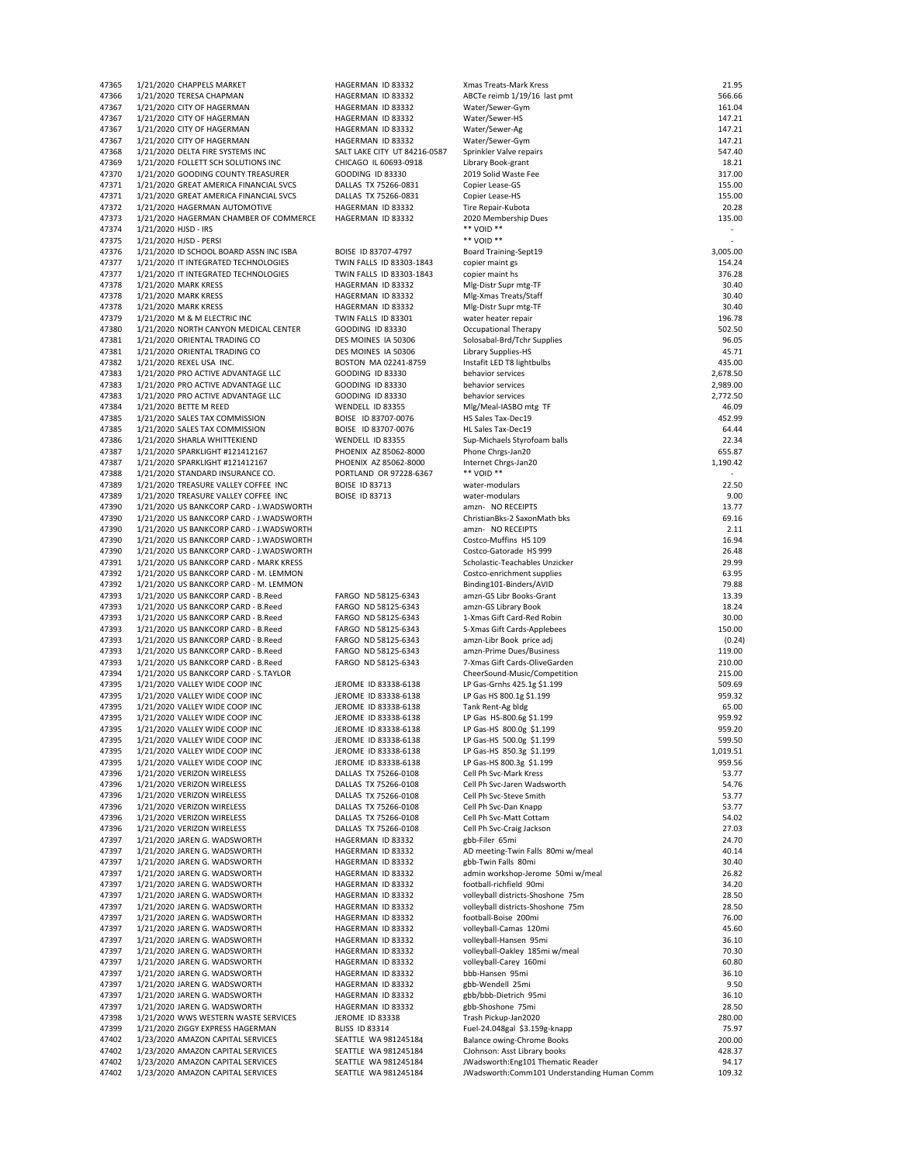|                |                                                          | HAGERMAN ID 83332            | Xmas Treats-Mark Kress                      | 21.95    |
|----------------|----------------------------------------------------------|------------------------------|---------------------------------------------|----------|
| 47365<br>47366 | 1/21/2020 CHAPPELS MARKET<br>1/21/2020 TERESA CHAPMAN    | HAGERMAN ID 83332            | ABCTe reimb 1/19/16 last pmt                | 566.66   |
| 47367          |                                                          | HAGERMAN ID 83332            | Water/Sewer-Gym                             | 161.04   |
|                | 1/21/2020 CITY OF HAGERMAN<br>1/21/2020 CITY OF HAGERMAN | HAGERMAN ID 83332            |                                             |          |
| 47367          |                                                          |                              | Water/Sewer-HS                              | 147.21   |
| 47367          | 1/21/2020 CITY OF HAGERMAN                               | HAGERMAN ID 83332            | Water/Sewer-Ag                              | 147.21   |
| 47367          | 1/21/2020 CITY OF HAGERMAN                               | HAGERMAN ID 83332            | Water/Sewer-Gym                             | 147.21   |
| 47368          | 1/21/2020 DELTA FIRE SYSTEMS INC                         | SALT LAKE CITY UT 84216-0587 | Sprinkler Valve repairs                     | 547.40   |
| 47369          | 1/21/2020 FOLLETT SCH SOLUTIONS INC                      | CHICAGO IL 60693-0918        | Library Book-grant                          | 18.21    |
| 47370          | 1/21/2020 GOODING COUNTY TREASURER                       | <b>GOODING ID 83330</b>      | 2019 Solid Waste Fee                        | 317.00   |
| 47371          | 1/21/2020 GREAT AMERICA FINANCIAL SVCS                   | DALLAS TX 75266-0831         | Copier Lease-GS                             | 155.00   |
| 47371          | 1/21/2020 GREAT AMERICA FINANCIAL SVCS                   | DALLAS TX 75266-0831         | Copier Lease-HS                             | 155.00   |
| 47372          | 1/21/2020 HAGERMAN AUTOMOTIVE                            | HAGERMAN ID 83332            | Tire Repair-Kubota                          | 20.28    |
| 47373          | 1/21/2020 HAGERMAN CHAMBER OF COMMERCE                   | HAGERMAN ID 83332            | 2020 Membership Dues                        | 135.00   |
| 47374          | 1/21/2020 HJSD - IRS                                     |                              | ** VOID **                                  | ٠        |
| 47375          | 1/21/2020 HJSD - PERSI                                   |                              | ** VOID **                                  |          |
| 47376          | 1/21/2020 ID SCHOOL BOARD ASSN INC ISBA                  | BOISE ID 83707-4797          | Board Training-Sept19                       | 3,005.00 |
| 47377          | 1/21/2020 IT INTEGRATED TECHNOLOGIES                     | TWIN FALLS ID 83303-1843     | copier maint gs                             | 154.24   |
|                |                                                          | TWIN FALLS ID 83303-1843     | copier maint hs                             | 376.28   |
| 47377          | 1/21/2020 IT INTEGRATED TECHNOLOGIES                     |                              |                                             |          |
| 47378          | 1/21/2020 MARK KRESS                                     | HAGERMAN ID 83332            | Mlg-Distr Supr mtg-TF                       | 30.40    |
| 47378          | 1/21/2020 MARK KRESS                                     | HAGERMAN ID 83332            | Mlg-Xmas Treats/Staff                       | 30.40    |
| 47378          | 1/21/2020 MARK KRESS                                     | HAGERMAN ID 83332            | Mlg-Distr Supr mtg-TF                       | 30.40    |
| 47379          | 1/21/2020 M & M ELECTRIC INC                             | TWIN FALLS ID 83301          | water heater repair                         | 196.78   |
| 47380          | 1/21/2020 NORTH CANYON MEDICAL CENTER                    | <b>GOODING ID 83330</b>      | Occupational Therapy                        | 502.50   |
| 47381          | 1/21/2020 ORIENTAL TRADING CO                            | DES MOINES IA 50306          | Solosabal-Brd/Tchr Supplies                 | 96.05    |
| 47381          | 1/21/2020 ORIENTAL TRADING CO                            | DES MOINES IA 50306          | Library Supplies-HS                         | 45.71    |
| 47382          | 1/21/2020 REXEL USA INC.                                 | BOSTON MA 02241-8759         | Instafit LED T8 lightbulbs                  | 435.00   |
| 47383          | 1/21/2020 PRO ACTIVE ADVANTAGE LLC                       | <b>GOODING ID 83330</b>      | behavior services                           | 2,678.50 |
| 47383          | 1/21/2020 PRO ACTIVE ADVANTAGE LLC                       | <b>GOODING ID 83330</b>      | behavior services                           | 2,989.00 |
| 47383          | 1/21/2020 PRO ACTIVE ADVANTAGE LLC                       | <b>GOODING ID 83330</b>      | behavior services                           | 2,772.50 |
| 47384          | 1/21/2020 BETTE M REED                                   | WENDELL ID 83355             | Mlg/Meal-IASBO mtg TF                       | 46.09    |
| 47385          |                                                          | BOISE ID 83707-0076          |                                             | 452.99   |
|                | 1/21/2020 SALES TAX COMMISSION                           |                              | HS Sales Tax-Dec19                          |          |
| 47385          | 1/21/2020 SALES TAX COMMISSION                           | BOISE ID 83707-0076          | HL Sales Tax-Dec19                          | 64.44    |
| 47386          | 1/21/2020 SHARLA WHITTEKIEND                             | WENDELL ID 83355             | Sup-Michaels Styrofoam balls                | 22.34    |
| 47387          | 1/21/2020 SPARKLIGHT #121412167                          | PHOENIX AZ 85062-8000        | Phone Chrgs-Jan20                           | 655.87   |
| 47387          | 1/21/2020 SPARKLIGHT #121412167                          | PHOENIX AZ 85062-8000        | Internet Chrgs-Jan20                        | 1,190.42 |
| 47388          | 1/21/2020 STANDARD INSURANCE CO.                         | PORTLAND OR 97228-6367       | ** VOID **                                  |          |
| 47389          | 1/21/2020 TREASURE VALLEY COFFEE INC                     | <b>BOISE ID 83713</b>        | water-modulars                              | 22.50    |
| 47389          | 1/21/2020 TREASURE VALLEY COFFEE INC                     | <b>BOISE ID 83713</b>        | water-modulars                              | 9.00     |
| 47390          | 1/21/2020 US BANKCORP CARD - J.WADSWORTH                 |                              | amzn- NO RECEIPTS                           | 13.77    |
| 47390          | 1/21/2020 US BANKCORP CARD - J.WADSWORTH                 |                              | ChristianBks-2 SaxonMath bks                | 69.16    |
| 47390          | 1/21/2020 US BANKCORP CARD - J.WADSWORTH                 |                              | amzn- NO RECEIPTS                           | 2.11     |
| 47390          | 1/21/2020 US BANKCORP CARD - J.WADSWORTH                 |                              | Costco-Muffins HS 109                       | 16.94    |
|                |                                                          |                              | Costco-Gatorade HS 999                      | 26.48    |
| 47390          | 1/21/2020 US BANKCORP CARD - J.WADSWORTH                 |                              |                                             |          |
| 47391          | 1/21/2020 US BANKCORP CARD - MARK KRESS                  |                              | Scholastic-Teachables Unzicker              | 29.99    |
| 47392          | 1/21/2020 US BANKCORP CARD - M. LEMMON                   |                              | Costco-enrichment supplies                  | 63.95    |
| 47392          | 1/21/2020 US BANKCORP CARD - M. LEMMON                   |                              | Binding101-Binders/AVID                     | 79.88    |
| 47393          | 1/21/2020 US BANKCORP CARD - B.Reed                      | FARGO ND 58125-6343          | amzn-GS Libr Books-Grant                    | 13.39    |
| 47393          | 1/21/2020 US BANKCORP CARD - B.Reed                      | FARGO ND 58125-6343          | amzn-GS Library Book                        | 18.24    |
| 47393          | 1/21/2020 US BANKCORP CARD - B.Reed                      | FARGO ND 58125-6343          | 1-Xmas Gift Card-Red Robin                  | 30.00    |
| 47393          | 1/21/2020 US BANKCORP CARD - B.Reed                      | FARGO ND 58125-6343          | 5-Xmas Gift Cards-Applebees                 | 150.00   |
| 47393          | 1/21/2020 US BANKCORP CARD - B.Reed                      | FARGO ND 58125-6343          | amzn-Libr Book price adj                    | (0.24)   |
| 47393          | 1/21/2020 US BANKCORP CARD - B.Reed                      | FARGO ND 58125-6343          | amzn-Prime Dues/Business                    | 119.00   |
| 47393          | 1/21/2020 US BANKCORP CARD - B.Reed                      | FARGO ND 58125-6343          | 7-Xmas Gift Cards-OliveGarden               | 210.00   |
| 47394          | 1/21/2020 US BANKCORP CARD - S.TAYLOR                    |                              | CheerSound-Music/Competition                | 215.00   |
| 47395          | 1/21/2020 VALLEY WIDE COOP INC                           | JEROME ID 83338-6138         | LP Gas-Grnhs 425.1g \$1.199                 | 509.69   |
|                | 1/21/2020 VALLEY WIDE COOP INC                           |                              |                                             | 959.32   |
| 47395          |                                                          | JEROME ID 83338-6138         | LP Gas HS 800.1g \$1.199                    |          |
| 47395          | 1/21/2020 VALLEY WIDE COOP INC                           | JEROME ID 83338-6138         | Tank Rent-Ag bldg                           | 65.00    |
| 47395          | 1/21/2020 VALLEY WIDE COOP INC                           | JEROME ID 83338-6138         | LP Gas HS-800.6g \$1.199                    | 959.92   |
| 47395          | 1/21/2020 VALLEY WIDE COOP INC                           | JEROME ID 83338-6138         | LP Gas-HS 800.0g \$1.199                    | 959.20   |
| 47395          | 1/21/2020 VALLEY WIDE COOP INC                           | JEROME ID 83338-6138         | LP Gas-HS 500.0g \$1.199                    | 599.50   |
| 47395          | 1/21/2020 VALLEY WIDE COOP INC                           | JEROME ID 83338-6138         | LP Gas-HS 850.3g \$1.199                    | 1,019.51 |
| 47395          | 1/21/2020 VALLEY WIDE COOP INC                           | JEROME ID 83338-6138         | LP Gas-HS 800.3g \$1.199                    | 959.56   |
| 47396          | 1/21/2020 VERIZON WIRELESS                               | DALLAS TX 75266-0108         | Cell Ph Svc-Mark Kress                      | 53.77    |
| 47396          | 1/21/2020 VERIZON WIRELESS                               | DALLAS TX 75266-0108         | Cell Ph Svc-Jaren Wadsworth                 | 54.76    |
| 47396          | 1/21/2020 VERIZON WIRELESS                               | DALLAS TX 75266-0108         | Cell Ph Svc-Steve Smith                     | 53.77    |
| 47396          | 1/21/2020 VERIZON WIRELESS                               | DALLAS TX 75266-0108         | Cell Ph Svc-Dan Knapp                       | 53.77    |
| 47396          | 1/21/2020 VERIZON WIRELESS                               | DALLAS TX 75266-0108         | Cell Ph Svc-Matt Cottam                     | 54.02    |
| 47396          | 1/21/2020 VERIZON WIRELESS                               | DALLAS TX 75266-0108         | Cell Ph Svc-Craig Jackson                   | 27.03    |
| 47397          | 1/21/2020 JAREN G. WADSWORTH                             | HAGERMAN ID 83332            | gbb-Filer 65mi                              | 24.70    |
|                |                                                          |                              |                                             |          |
| 47397          | 1/21/2020 JAREN G. WADSWORTH                             | HAGERMAN ID 83332            | AD meeting-Twin Falls 80mi w/meal           | 40.14    |
| 47397          | 1/21/2020 JAREN G. WADSWORTH                             | HAGERMAN ID 83332            | gbb-Twin Falls 80mi                         | 30.40    |
| 47397          | 1/21/2020 JAREN G. WADSWORTH                             | HAGERMAN ID 83332            | admin workshop-Jerome 50mi w/meal           | 26.82    |
| 47397          | 1/21/2020 JAREN G. WADSWORTH                             | HAGERMAN ID 83332            | football-richfield 90mi                     | 34.20    |
| 47397          | 1/21/2020 JAREN G. WADSWORTH                             | HAGERMAN ID 83332            | volleyball districts-Shoshone 75m           | 28.50    |
| 47397          | 1/21/2020 JAREN G. WADSWORTH                             | HAGERMAN ID 83332            | volleyball districts-Shoshone 75m           | 28.50    |
| 47397          | 1/21/2020 JAREN G. WADSWORTH                             | HAGERMAN ID 83332            | football-Boise 200mi                        | 76.00    |
| 47397          | 1/21/2020 JAREN G. WADSWORTH                             | HAGERMAN ID 83332            | volleyball-Camas 120mi                      | 45.60    |
| 47397          | 1/21/2020 JAREN G. WADSWORTH                             | HAGERMAN ID 83332            | volleyball-Hansen 95mi                      | 36.10    |
| 47397          | 1/21/2020 JAREN G. WADSWORTH                             | HAGERMAN ID 83332            | volleyball-Oakley 185mi w/meal              | 70.30    |
| 47397          | 1/21/2020 JAREN G. WADSWORTH                             | HAGERMAN ID 83332            | volleyball-Carey 160mi                      | 60.80    |
| 47397          | 1/21/2020 JAREN G. WADSWORTH                             | HAGERMAN ID 83332            | bbb-Hansen 95mi                             | 36.10    |
| 47397          | 1/21/2020 JAREN G. WADSWORTH                             | HAGERMAN ID 83332            | gbb-Wendell 25mi                            | 9.50     |
|                |                                                          |                              |                                             |          |
| 47397          | 1/21/2020 JAREN G. WADSWORTH                             | HAGERMAN ID 83332            | gbb/bbb-Dietrich 95mi                       | 36.10    |
| 47397          | 1/21/2020 JAREN G. WADSWORTH                             | HAGERMAN ID 83332            | gbb-Shoshone 75mi                           | 28.50    |
| 47398          | 1/21/2020 WWS WESTERN WASTE SERVICES                     | JEROME ID 83338              | Trash Pickup-Jan2020                        | 280.00   |
| 47399          | 1/21/2020 ZIGGY EXPRESS HAGERMAN                         | <b>BLISS ID 83314</b>        | Fuel-24.048gal \$3.159g-knapp               | 75.97    |
| 47402          | 1/23/2020 AMAZON CAPITAL SERVICES                        | SEATTLE WA 981245184         | Balance owing-Chrome Books                  | 200.00   |
| 47402          | 1/23/2020 AMAZON CAPITAL SERVICES                        | SEATTLE WA 981245184         | CJohnson: Asst Library books                | 428.37   |
| 47402          | 1/23/2020 AMAZON CAPITAL SERVICES                        | SEATTLE WA 981245184         | JWadsworth: Eng101 Thematic Reader          | 94.17    |
| 47402          | 1/23/2020 AMAZON CAPITAL SERVICES                        | SEATTLE WA 981245184         | JWadsworth:Comm101 Understanding Human Comm | 109.32   |